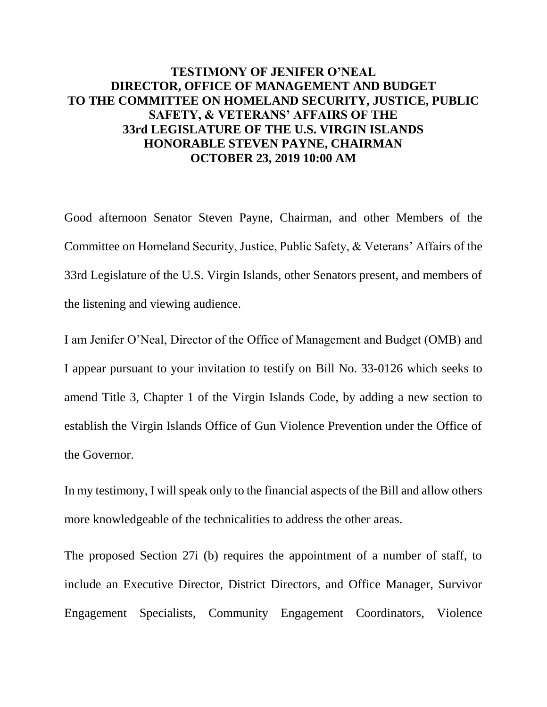## **TESTIMONY OF JENIFER O'NEAL DIRECTOR, OFFICE OF MANAGEMENT AND BUDGET TO THE COMMITTEE ON HOMELAND SECURITY, JUSTICE, PUBLIC SAFETY, & VETERANS' AFFAIRS OF THE 33rd LEGISLATURE OF THE U.S. VIRGIN ISLANDS HONORABLE STEVEN PAYNE, CHAIRMAN OCTOBER 23, 2019 10:00 AM**

Good afternoon Senator Steven Payne, Chairman, and other Members of the Committee on Homeland Security, Justice, Public Safety, & Veterans' Affairs of the 33rd Legislature of the U.S. Virgin Islands, other Senators present, and members of the listening and viewing audience.

I am Jenifer O'Neal, Director of the Office of Management and Budget (OMB) and I appear pursuant to your invitation to testify on Bill No. 33-0126 which seeks to amend Title 3, Chapter 1 of the Virgin Islands Code, by adding a new section to establish the Virgin Islands Office of Gun Violence Prevention under the Office of the Governor.

In my testimony, I will speak only to the financial aspects of the Bill and allow others more knowledgeable of the technicalities to address the other areas.

The proposed Section 27i (b) requires the appointment of a number of staff, to include an Executive Director, District Directors, and Office Manager, Survivor Engagement Specialists, Community Engagement Coordinators, Violence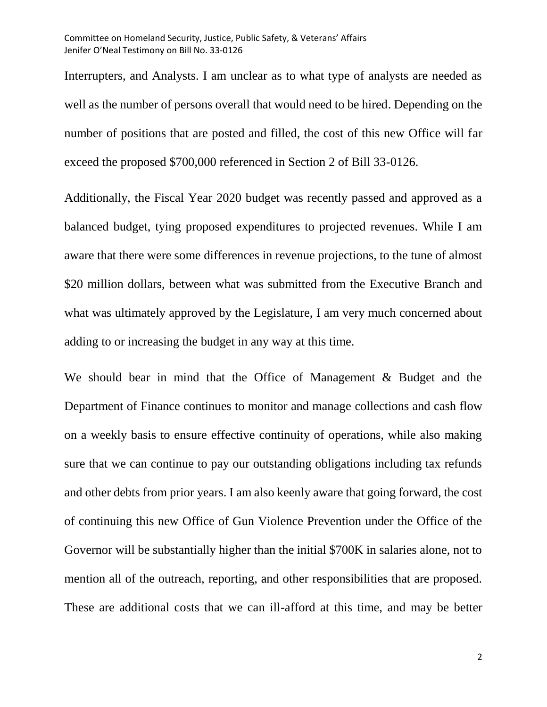Interrupters, and Analysts. I am unclear as to what type of analysts are needed as well as the number of persons overall that would need to be hired. Depending on the number of positions that are posted and filled, the cost of this new Office will far exceed the proposed \$700,000 referenced in Section 2 of Bill 33-0126.

Additionally, the Fiscal Year 2020 budget was recently passed and approved as a balanced budget, tying proposed expenditures to projected revenues. While I am aware that there were some differences in revenue projections, to the tune of almost \$20 million dollars, between what was submitted from the Executive Branch and what was ultimately approved by the Legislature, I am very much concerned about adding to or increasing the budget in any way at this time.

We should bear in mind that the Office of Management & Budget and the Department of Finance continues to monitor and manage collections and cash flow on a weekly basis to ensure effective continuity of operations, while also making sure that we can continue to pay our outstanding obligations including tax refunds and other debts from prior years. I am also keenly aware that going forward, the cost of continuing this new Office of Gun Violence Prevention under the Office of the Governor will be substantially higher than the initial \$700K in salaries alone, not to mention all of the outreach, reporting, and other responsibilities that are proposed. These are additional costs that we can ill-afford at this time, and may be better

2